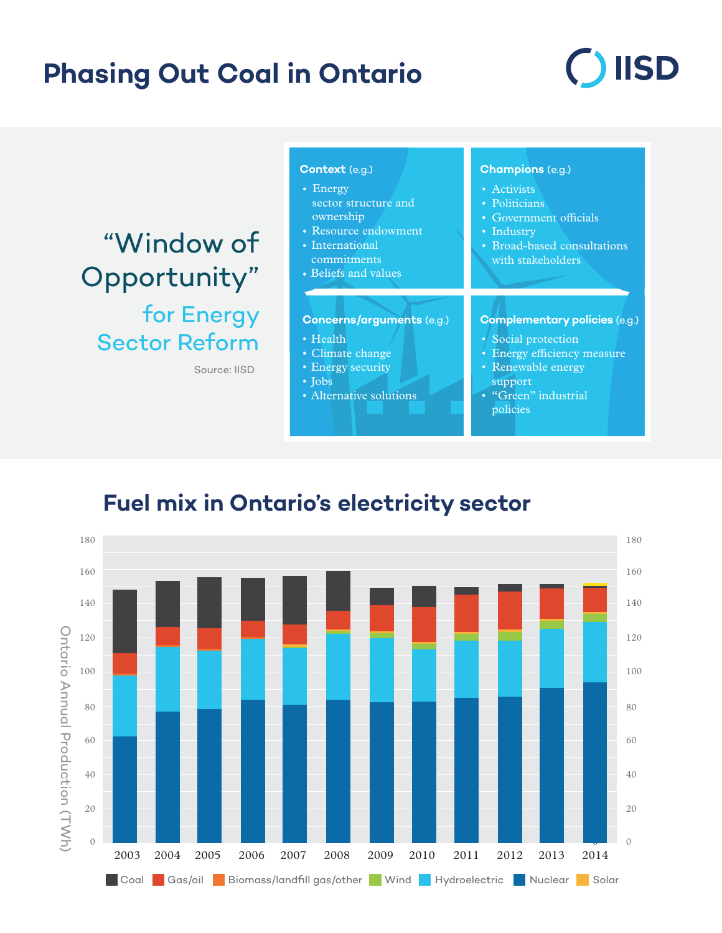# **Phasing Out Coal in Ontario**

# **IISD**

"Window of Opportunity" for Energy Sector Reform

Source: IISD

#### **Context** (e.g.) **Champions** (e.g.) Activists • • Politicians • Government officials • Industry Broad-based consultations • with stakeholders **Concerns/arguments** (e.g.) **Complementary policies** (e.g.) • Energy • Resource endowment • International • Beliefs and values • Health Climate change • • Energy security Jobs • Alternative solutions • Social protection • • Energy efficiency measure Renewable energy support • "Green" industrial policies sector structure and ownership commitments

## **Fuel mix in Ontario's electricity sector**